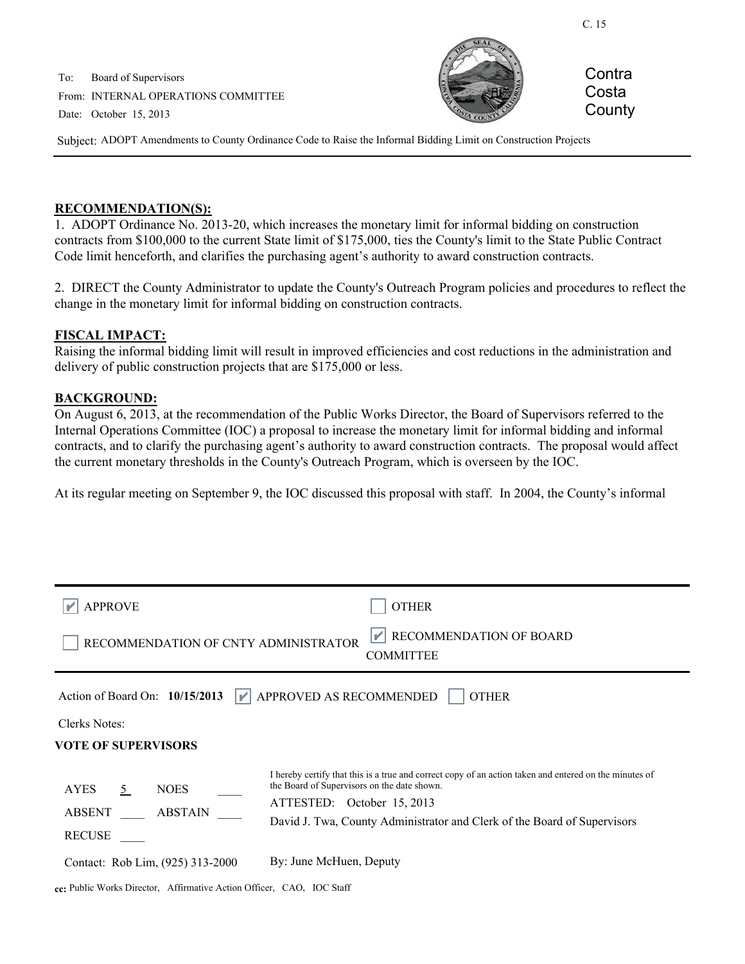C. 15

To: Board of Supervisors From: INTERNAL OPERATIONS COMMITTEE Date: October 15, 2013



**Contra** Costa **County** 

Subject: ADOPT Amendments to County Ordinance Code to Raise the Informal Bidding Limit on Construction Projects

#### **RECOMMENDATION(S):**

1. ADOPT Ordinance No. 2013-20, which increases the monetary limit for informal bidding on construction contracts from \$100,000 to the current State limit of \$175,000, ties the County's limit to the State Public Contract Code limit henceforth, and clarifies the purchasing agent's authority to award construction contracts.

2. DIRECT the County Administrator to update the County's Outreach Program policies and procedures to reflect the change in the monetary limit for informal bidding on construction contracts.

### **FISCAL IMPACT:**

Raising the informal bidding limit will result in improved efficiencies and cost reductions in the administration and delivery of public construction projects that are \$175,000 or less.

#### **BACKGROUND:**

On August 6, 2013, at the recommendation of the Public Works Director, the Board of Supervisors referred to the Internal Operations Committee (IOC) a proposal to increase the monetary limit for informal bidding and informal contracts, and to clarify the purchasing agent's authority to award construction contracts. The proposal would affect the current monetary thresholds in the County's Outreach Program, which is overseen by the IOC.

At its regular meeting on September 9, the IOC discussed this proposal with staff. In 2004, the County's informal

| <b>APPROVE</b>                                                                                   | <b>OTHER</b>                                                                                                                                                                                                                                                    |
|--------------------------------------------------------------------------------------------------|-----------------------------------------------------------------------------------------------------------------------------------------------------------------------------------------------------------------------------------------------------------------|
| $\mathbb{P}$ RECOMMENDATION OF BOARD<br>RECOMMENDATION OF CNTY ADMINISTRATOR<br><b>COMMITTEE</b> |                                                                                                                                                                                                                                                                 |
| <b>APPROVED AS RECOMMENDED</b><br>Action of Board On: $10/15/2013$<br><b>OTHER</b>               |                                                                                                                                                                                                                                                                 |
| Clerks Notes:                                                                                    |                                                                                                                                                                                                                                                                 |
| <b>VOTE OF SUPERVISORS</b>                                                                       |                                                                                                                                                                                                                                                                 |
| <b>NOES</b><br><b>AYES</b><br>5<br><b>ABSTAIN</b><br><b>ABSENT</b><br><b>RECUSE</b>              | I hereby certify that this is a true and correct copy of an action taken and entered on the minutes of<br>the Board of Supervisors on the date shown.<br>ATTESTED: October 15, 2013<br>David J. Twa, County Administrator and Clerk of the Board of Supervisors |
| Contact: Rob Lim. (925) 313-2000                                                                 | By: June McHuen, Deputy                                                                                                                                                                                                                                         |

**cc:** Public Works Director, Affirmative Action Officer, CAO, IOC Staff